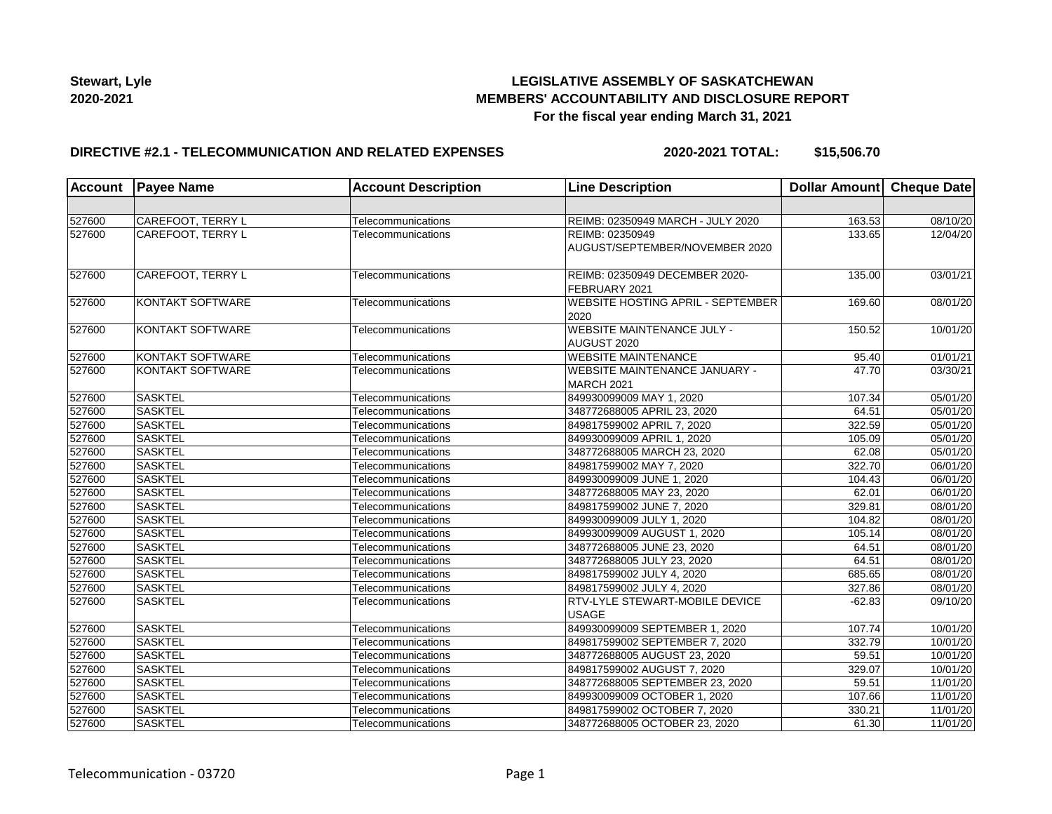

## **LEGISLATIVE ASSEMBLY OF SASKATCHEWAN MEMBERS' ACCOUNTABILITY AND DISCLOSURE REPORT For the fiscal year ending March 31, 2021**

## **DIRECTIVE #2.1 - TELECOMMUNICATION AND RELATED EXPENSES**

**2020-2021 TOTAL: \$15,506.70**

| <b>Account</b> | <b>Payee Name</b>       | <b>Account Description</b> | <b>Line Description</b>                                       | Dollar Amount Cheque Date |          |
|----------------|-------------------------|----------------------------|---------------------------------------------------------------|---------------------------|----------|
|                |                         |                            |                                                               |                           |          |
| 527600         | CAREFOOT, TERRY L       | Telecommunications         | REIMB: 02350949 MARCH - JULY 2020                             | 163.53                    | 08/10/20 |
| 527600         | CAREFOOT, TERRY L       | Telecommunications         | REIMB: 02350949<br>AUGUST/SEPTEMBER/NOVEMBER 2020             | 133.65                    | 12/04/20 |
| 527600         | CAREFOOT, TERRY L       | Telecommunications         | REIMB: 02350949 DECEMBER 2020-<br>FEBRUARY 2021               | 135.00                    | 03/01/21 |
| 527600         | <b>KONTAKT SOFTWARE</b> | Telecommunications         | <b>WEBSITE HOSTING APRIL - SEPTEMBER</b><br>2020              | 169.60                    | 08/01/20 |
| 527600         | <b>KONTAKT SOFTWARE</b> | Telecommunications         | <b>WEBSITE MAINTENANCE JULY -</b><br>AUGUST 2020              | 150.52                    | 10/01/20 |
| 527600         | <b>KONTAKT SOFTWARE</b> | Telecommunications         | <b>WEBSITE MAINTENANCE</b>                                    | 95.40                     | 01/01/21 |
| 527600         | <b>KONTAKT SOFTWARE</b> | Telecommunications         | <b>WEBSITE MAINTENANCE JANUARY -</b><br>MARCH <sub>2021</sub> | 47.70                     | 03/30/21 |
| 527600         | <b>SASKTEL</b>          | Telecommunications         | 849930099009 MAY 1, 2020                                      | 107.34                    | 05/01/20 |
| 527600         | <b>SASKTEL</b>          | Telecommunications         | 348772688005 APRIL 23, 2020                                   | 64.51                     | 05/01/20 |
| 527600         | <b>SASKTEL</b>          | Telecommunications         | 849817599002 APRIL 7, 2020                                    | 322.59                    | 05/01/20 |
| 527600         | <b>SASKTEL</b>          | Telecommunications         | 849930099009 APRIL 1, 2020                                    | 105.09                    | 05/01/20 |
| 527600         | <b>SASKTEL</b>          | Telecommunications         | 348772688005 MARCH 23, 2020                                   | 62.08                     | 05/01/20 |
| 527600         | <b>SASKTEL</b>          | Telecommunications         | 849817599002 MAY 7, 2020                                      | 322.70                    | 06/01/20 |
| 527600         | <b>SASKTEL</b>          | Telecommunications         | 849930099009 JUNE 1, 2020                                     | 104.43                    | 06/01/20 |
| 527600         | <b>SASKTEL</b>          | Telecommunications         | 348772688005 MAY 23, 2020                                     | 62.01                     | 06/01/20 |
| 527600         | <b>SASKTEL</b>          | Telecommunications         | 849817599002 JUNE 7, 2020                                     | 329.81                    | 08/01/20 |
| 527600         | <b>SASKTEL</b>          | Telecommunications         | 849930099009 JULY 1, 2020                                     | 104.82                    | 08/01/20 |
| 527600         | <b>SASKTEL</b>          | Telecommunications         | 849930099009 AUGUST 1, 2020                                   | 105.14                    | 08/01/20 |
| 527600         | <b>SASKTEL</b>          | Telecommunications         | 348772688005 JUNE 23, 2020                                    | 64.51                     | 08/01/20 |
| 527600         | <b>SASKTEL</b>          | Telecommunications         | 348772688005 JULY 23, 2020                                    | 64.51                     | 08/01/20 |
| 527600         | <b>SASKTEL</b>          | Telecommunications         | 849817599002 JULY 4, 2020                                     | 685.65                    | 08/01/20 |
| 527600         | <b>SASKTEL</b>          | Telecommunications         | 849817599002 JULY 4, 2020                                     | 327.86                    | 08/01/20 |
| 527600         | <b>SASKTEL</b>          | Telecommunications         | RTV-LYLE STEWART-MOBILE DEVICE<br><b>USAGE</b>                | $-62.83$                  | 09/10/20 |
| 527600         | <b>SASKTEL</b>          | Telecommunications         | 849930099009 SEPTEMBER 1, 2020                                | 107.74                    | 10/01/20 |
| 527600         | <b>SASKTEL</b>          | Telecommunications         | 849817599002 SEPTEMBER 7, 2020                                | 332.79                    | 10/01/20 |
| 527600         | <b>SASKTEL</b>          | Telecommunications         | 348772688005 AUGUST 23, 2020                                  | 59.51                     | 10/01/20 |
| 527600         | <b>SASKTEL</b>          | Telecommunications         | 849817599002 AUGUST 7, 2020                                   | 329.07                    | 10/01/20 |
| 527600         | <b>SASKTEL</b>          | Telecommunications         | 348772688005 SEPTEMBER 23, 2020                               | 59.51                     | 11/01/20 |
| 527600         | <b>SASKTEL</b>          | Telecommunications         | 849930099009 OCTOBER 1, 2020                                  | 107.66                    | 11/01/20 |
| 527600         | <b>SASKTEL</b>          | Telecommunications         | 849817599002 OCTOBER 7, 2020                                  | 330.21                    | 11/01/20 |
| 527600         | <b>SASKTEL</b>          | Telecommunications         | 348772688005 OCTOBER 23, 2020                                 | 61.30                     | 11/01/20 |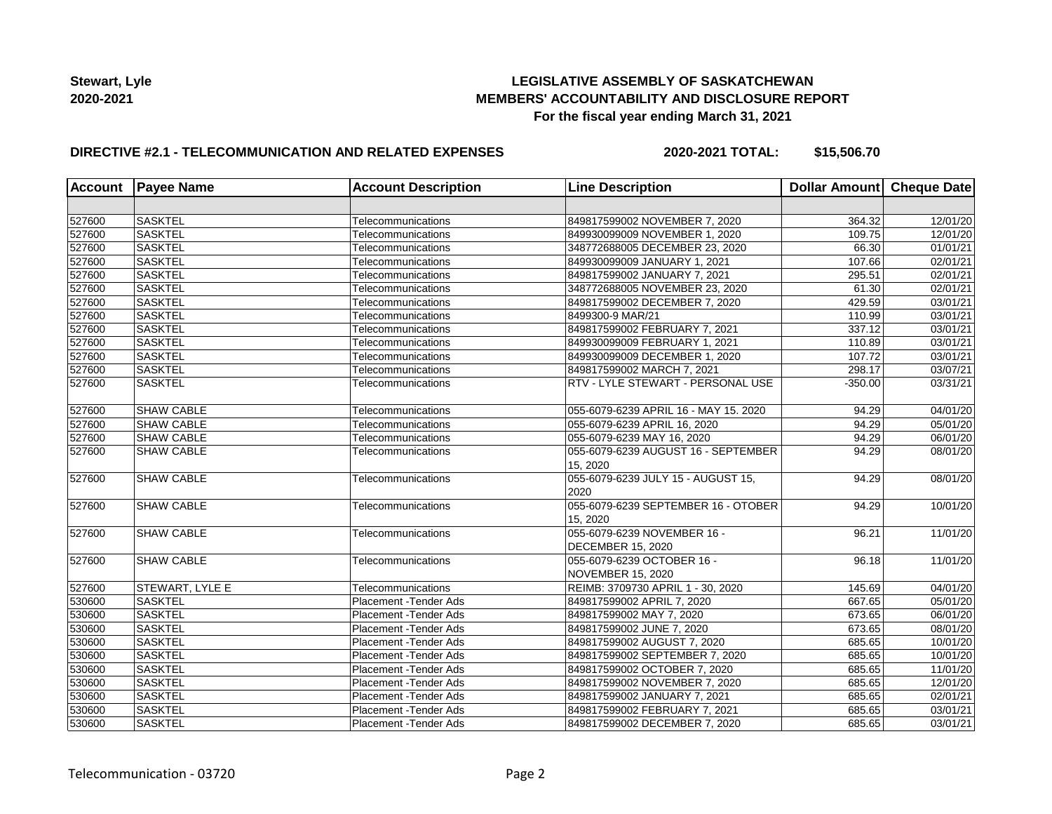## **LEGISLATIVE ASSEMBLY OF SASKATCHEWAN MEMBERS' ACCOUNTABILITY AND DISCLOSURE REPORT For the fiscal year ending March 31, 2021**

## **DIRECTIVE #2.1 - TELECOMMUNICATION AND RELATED EXPENSES**

**2020-2021 TOTAL: \$15,506.70**

| <b>Account</b> | <b>Payee Name</b>      | <b>Account Description</b> | <b>Line Description</b>                                 | Dollar Amount Cheque Date |          |
|----------------|------------------------|----------------------------|---------------------------------------------------------|---------------------------|----------|
|                |                        |                            |                                                         |                           |          |
| 527600         | <b>SASKTEL</b>         | Telecommunications         | 849817599002 NOVEMBER 7, 2020                           | 364.32                    | 12/01/20 |
| 527600         | <b>SASKTEL</b>         | Telecommunications         | 849930099009 NOVEMBER 1, 2020                           | 109.75                    | 12/01/20 |
| 527600         | SASKTEL                | Telecommunications         | 348772688005 DECEMBER 23, 2020                          | 66.30                     | 01/01/21 |
| 527600         | <b>SASKTEL</b>         | Telecommunications         | 849930099009 JANUARY 1, 2021                            | 107.66                    | 02/01/21 |
| 527600         | <b>SASKTEL</b>         | Telecommunications         | 849817599002 JANUARY 7, 2021                            | 295.51                    | 02/01/21 |
| 527600         | <b>SASKTEL</b>         | Telecommunications         | 348772688005 NOVEMBER 23, 2020                          | 61.30                     | 02/01/21 |
| 527600         | <b>SASKTEL</b>         | Telecommunications         | 849817599002 DECEMBER 7, 2020                           | 429.59                    | 03/01/21 |
| 527600         | <b>SASKTEL</b>         | Telecommunications         | 8499300-9 MAR/21                                        | 110.99                    | 03/01/21 |
| 527600         | SASKTEL                | Telecommunications         | 849817599002 FEBRUARY 7, 2021                           | 337.12                    | 03/01/21 |
| 527600         | <b>SASKTEL</b>         | Telecommunications         | 849930099009 FEBRUARY 1, 2021                           | 110.89                    | 03/01/21 |
| 527600         | <b>SASKTEL</b>         | Telecommunications         | 849930099009 DECEMBER 1, 2020                           | 107.72                    | 03/01/21 |
| 527600         | <b>SASKTEL</b>         | Telecommunications         | 849817599002 MARCH 7, 2021                              | 298.17                    | 03/07/21 |
| 527600         | <b>SASKTEL</b>         | Telecommunications         | RTV - LYLE STEWART - PERSONAL USE                       | $-350.00$                 | 03/31/21 |
| 527600         | <b>SHAW CABLE</b>      | Telecommunications         | 055-6079-6239 APRIL 16 - MAY 15. 2020                   | 94.29                     | 04/01/20 |
| 527600         | <b>SHAW CABLE</b>      | Telecommunications         | 055-6079-6239 APRIL 16, 2020                            | 94.29                     | 05/01/20 |
| 527600         | <b>SHAW CABLE</b>      | Telecommunications         | 055-6079-6239 MAY 16, 2020                              | 94.29                     | 06/01/20 |
| 527600         | <b>SHAW CABLE</b>      | Telecommunications         | 055-6079-6239 AUGUST 16 - SEPTEMBER<br>15.2020          | 94.29                     | 08/01/20 |
| 527600         | <b>SHAW CABLE</b>      | Telecommunications         | 055-6079-6239 JULY 15 - AUGUST 15,<br>2020              | 94.29                     | 08/01/20 |
| 527600         | <b>SHAW CABLE</b>      | Telecommunications         | 055-6079-6239 SEPTEMBER 16 - OTOBER<br>15, 2020         | 94.29                     | 10/01/20 |
| 527600         | <b>SHAW CABLE</b>      | Telecommunications         | 055-6079-6239 NOVEMBER 16 -<br><b>DECEMBER 15, 2020</b> | 96.21                     | 11/01/20 |
| 527600         | <b>SHAW CABLE</b>      | Telecommunications         | 055-6079-6239 OCTOBER 16 -<br><b>NOVEMBER 15, 2020</b>  | 96.18                     | 11/01/20 |
| 527600         | <b>STEWART, LYLE E</b> | Telecommunications         | REIMB: 3709730 APRIL 1 - 30, 2020                       | 145.69                    | 04/01/20 |
| 530600         | <b>SASKTEL</b>         | Placement - Tender Ads     | 849817599002 APRIL 7, 2020                              | 667.65                    | 05/01/20 |
| 530600         | <b>SASKTEL</b>         | Placement - Tender Ads     | 849817599002 MAY 7, 2020                                | 673.65                    | 06/01/20 |
| 530600         | <b>SASKTEL</b>         | Placement - Tender Ads     | 849817599002 JUNE 7, 2020                               | 673.65                    | 08/01/20 |
| 530600         | <b>SASKTEL</b>         | Placement - Tender Ads     | 849817599002 AUGUST 7, 2020                             | 685.65                    | 10/01/20 |
| 530600         | SASKTEL                | Placement - Tender Ads     | 849817599002 SEPTEMBER 7, 2020                          | 685.65                    | 10/01/20 |
| 530600         | <b>SASKTEL</b>         | Placement - Tender Ads     | 849817599002 OCTOBER 7, 2020                            | 685.65                    | 11/01/20 |
| 530600         | <b>SASKTEL</b>         | Placement - Tender Ads     | 849817599002 NOVEMBER 7, 2020                           | 685.65                    | 12/01/20 |
| 530600         | <b>SASKTEL</b>         | Placement - Tender Ads     | 849817599002 JANUARY 7, 2021                            | 685.65                    | 02/01/21 |
| 530600         | <b>SASKTEL</b>         | Placement - Tender Ads     | 849817599002 FEBRUARY 7, 2021                           | 685.65                    | 03/01/21 |
| 530600         | <b>SASKTEL</b>         | Placement - Tender Ads     | 849817599002 DECEMBER 7, 2020                           | 685.65                    | 03/01/21 |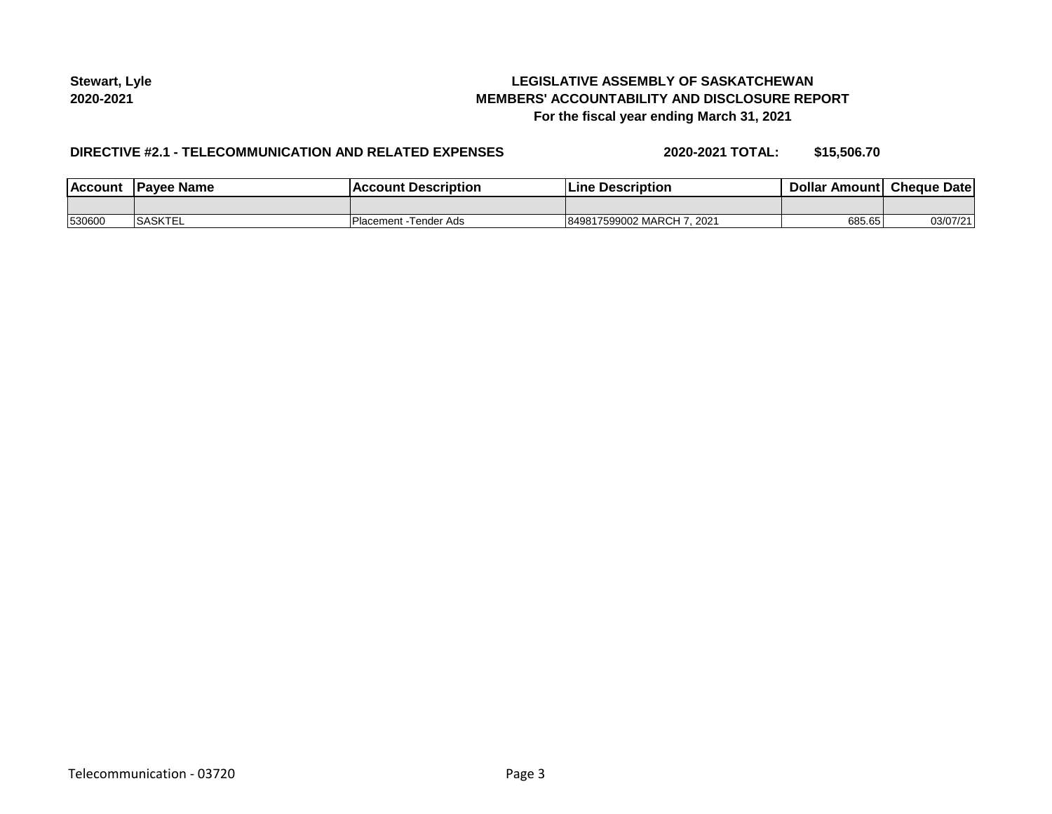## **LEGISLATIVE ASSEMBLY OF SASKATCHEWAN MEMBERS' ACCOUNTABILITY AND DISCLOSURE REPORT For the fiscal year ending March 31, 2021**

## **DIRECTIVE #2.1 - TELECOMMUNICATION AND RELATED EXPENSES**

**2020-2021 TOTAL: \$15,506.70**

| <b>Account</b> | 'Payee Name    | Account Description   | <b>Line Description</b>        | Dollar Amount Cheque Date |          |
|----------------|----------------|-----------------------|--------------------------------|---------------------------|----------|
|                |                |                       |                                |                           |          |
| 530600         | <b>SASKTEL</b> | Placement -Tender Ads | 849817599002 MARCH 7.<br>.2021 | 685.65                    | 03/07/21 |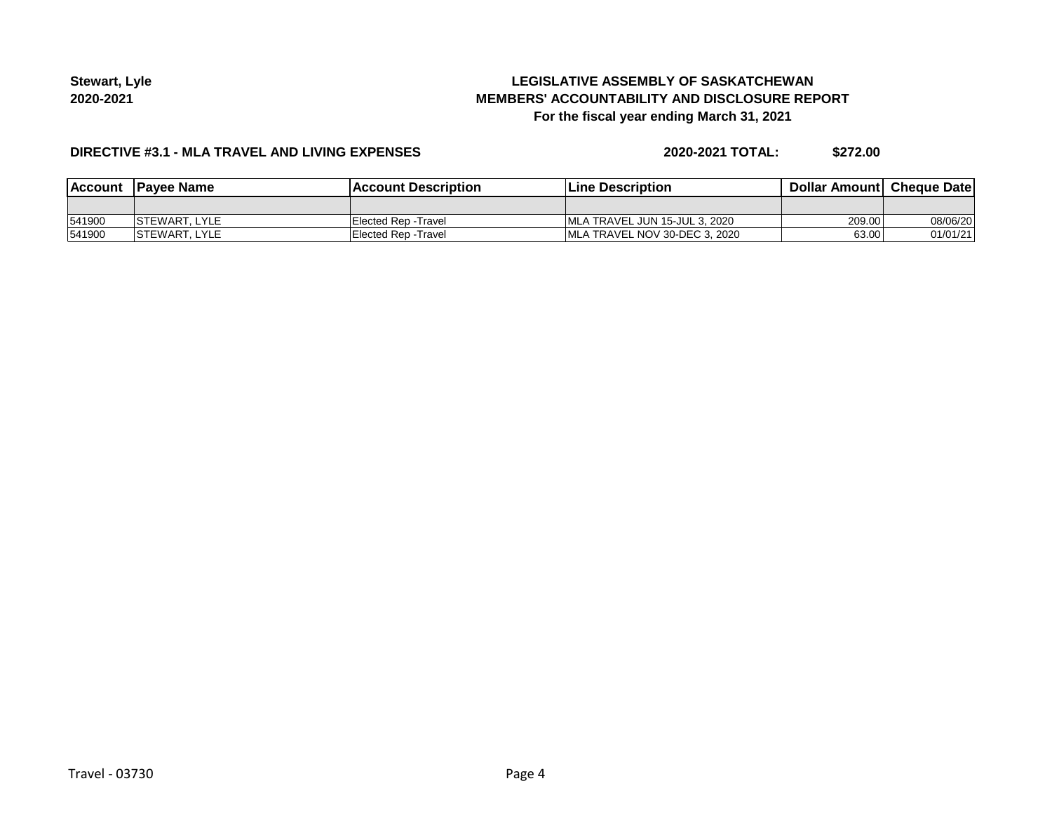# **LEGISLATIVE ASSEMBLY OF SASKATCHEWAN MEMBERS' ACCOUNTABILITY AND DISCLOSURE REPORT For the fiscal year ending March 31, 2021**

#### **DIRECTIVE #3.1 - MLA TRAVEL AND LIVING EXPENSES**

**2020-2021 TOTAL: \$272.00**

|        | Account Payee Name    | <b>IAccount Description</b> | Line Description               | <b>Dollar Amountl Cheque Date</b> |          |
|--------|-----------------------|-----------------------------|--------------------------------|-----------------------------------|----------|
|        |                       |                             |                                |                                   |          |
| 541900 | <b>ISTEWART, LYLE</b> | Elected Rep -Travel         | IMLA TRAVEL JUN 15-JUL 3, 2020 | 209.00                            | 08/06/20 |
| 541900 | <b>ISTEWART, LYLE</b> | Elected Rep -Travel         | IMLA TRAVEL NOV 30-DEC 3. 2020 | 63.00                             | 01/01/21 |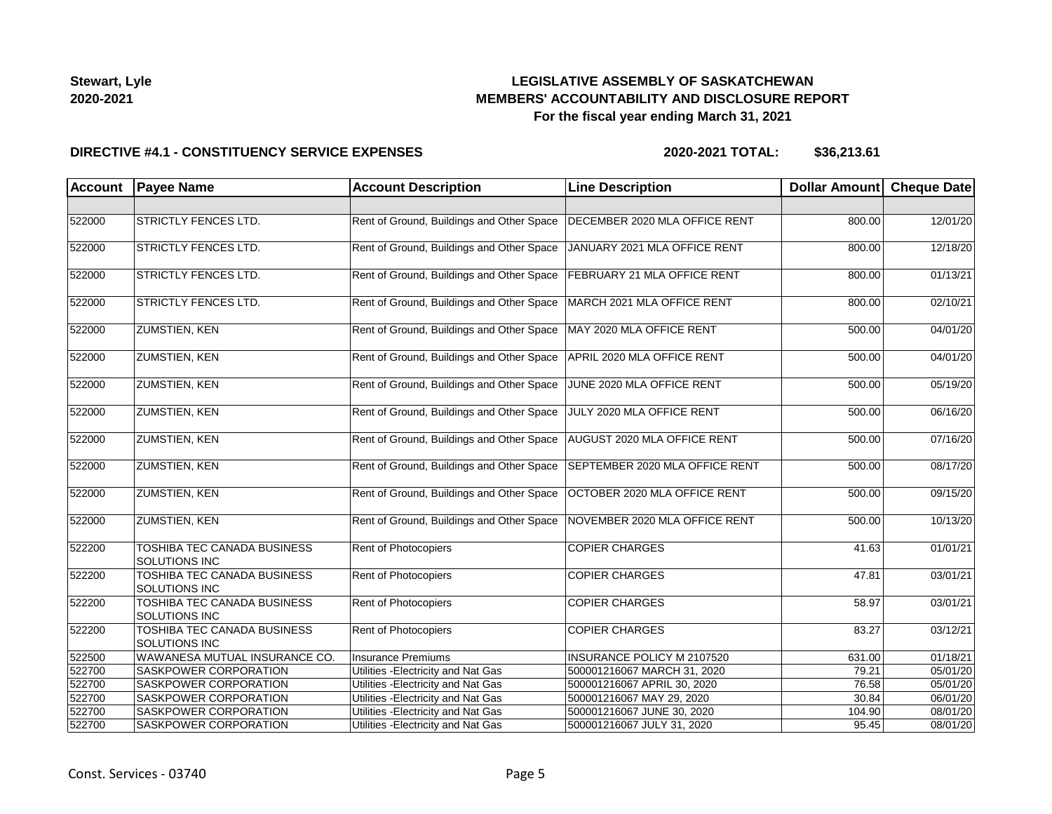## **LEGISLATIVE ASSEMBLY OF SASKATCHEWAN MEMBERS' ACCOUNTABILITY AND DISCLOSURE REPORT For the fiscal year ending March 31, 2021**

#### **DIRECTIVE #4.1 - CONSTITUENCY SERVICE EXPENSES**

| Account | <b>Payee Name</b>                                   | <b>Account Description</b>                | <b>Line Description</b>        | Dollar Amount Cheque Date |          |
|---------|-----------------------------------------------------|-------------------------------------------|--------------------------------|---------------------------|----------|
|         |                                                     |                                           |                                |                           |          |
| 522000  | <b>STRICTLY FENCES LTD.</b>                         | Rent of Ground, Buildings and Other Space | DECEMBER 2020 MLA OFFICE RENT  | 800.00                    | 12/01/20 |
| 522000  | <b>STRICTLY FENCES LTD.</b>                         | Rent of Ground, Buildings and Other Space | JANUARY 2021 MLA OFFICE RENT   | 800.00                    | 12/18/20 |
| 522000  | STRICTLY FENCES LTD.                                | Rent of Ground, Buildings and Other Space | FEBRUARY 21 MLA OFFICE RENT    | 800.00                    | 01/13/21 |
| 522000  | <b>STRICTLY FENCES LTD.</b>                         | Rent of Ground, Buildings and Other Space | MARCH 2021 MLA OFFICE RENT     | 800.00                    | 02/10/21 |
| 522000  | <b>ZUMSTIEN, KEN</b>                                | Rent of Ground, Buildings and Other Space | MAY 2020 MLA OFFICE RENT       | 500.00                    | 04/01/20 |
| 522000  | <b>ZUMSTIEN, KEN</b>                                | Rent of Ground, Buildings and Other Space | APRIL 2020 MLA OFFICE RENT     | 500.00                    | 04/01/20 |
| 522000  | <b>ZUMSTIEN, KEN</b>                                | Rent of Ground, Buildings and Other Space | JUNE 2020 MLA OFFICE RENT      | 500.00                    | 05/19/20 |
| 522000  | <b>ZUMSTIEN, KEN</b>                                | Rent of Ground, Buildings and Other Space | JULY 2020 MLA OFFICE RENT      | 500.00                    | 06/16/20 |
| 522000  | <b>ZUMSTIEN, KEN</b>                                | Rent of Ground, Buildings and Other Space | AUGUST 2020 MLA OFFICE RENT    | 500.00                    | 07/16/20 |
| 522000  | <b>ZUMSTIEN, KEN</b>                                | Rent of Ground, Buildings and Other Space | SEPTEMBER 2020 MLA OFFICE RENT | 500.00                    | 08/17/20 |
| 522000  | <b>ZUMSTIEN, KEN</b>                                | Rent of Ground, Buildings and Other Space | OCTOBER 2020 MLA OFFICE RENT   | 500.00                    | 09/15/20 |
| 522000  | <b>ZUMSTIEN, KEN</b>                                | Rent of Ground, Buildings and Other Space | NOVEMBER 2020 MLA OFFICE RENT  | 500.00                    | 10/13/20 |
| 522200  | TOSHIBA TEC CANADA BUSINESS<br>SOLUTIONS INC        | Rent of Photocopiers                      | <b>COPIER CHARGES</b>          | 41.63                     | 01/01/21 |
| 522200  | TOSHIBA TEC CANADA BUSINESS<br><b>SOLUTIONS INC</b> | Rent of Photocopiers                      | <b>COPIER CHARGES</b>          | 47.81                     | 03/01/21 |
| 522200  | TOSHIBA TEC CANADA BUSINESS<br>SOLUTIONS INC        | Rent of Photocopiers                      | <b>COPIER CHARGES</b>          | 58.97                     | 03/01/21 |
| 522200  | TOSHIBA TEC CANADA BUSINESS<br>SOLUTIONS INC        | Rent of Photocopiers                      | <b>COPIER CHARGES</b>          | 83.27                     | 03/12/21 |
| 522500  | WAWANESA MUTUAL INSURANCE CO.                       | Insurance Premiums                        | INSURANCE POLICY M 2107520     | 631.00                    | 01/18/21 |
| 522700  | SASKPOWER CORPORATION                               | Utilities - Electricity and Nat Gas       | 500001216067 MARCH 31, 2020    | 79.21                     | 05/01/20 |
| 522700  | SASKPOWER CORPORATION                               | Utilities - Electricity and Nat Gas       | 500001216067 APRIL 30, 2020    | 76.58                     | 05/01/20 |
| 522700  | SASKPOWER CORPORATION                               | Utilities - Electricity and Nat Gas       | 500001216067 MAY 29, 2020      | 30.84                     | 06/01/20 |
| 522700  | SASKPOWER CORPORATION                               | Utilities - Electricity and Nat Gas       | 500001216067 JUNE 30, 2020     | 104.90                    | 08/01/20 |
| 522700  | <b>SASKPOWER CORPORATION</b>                        | Utilities - Electricity and Nat Gas       | 500001216067 JULY 31, 2020     | 95.45                     | 08/01/20 |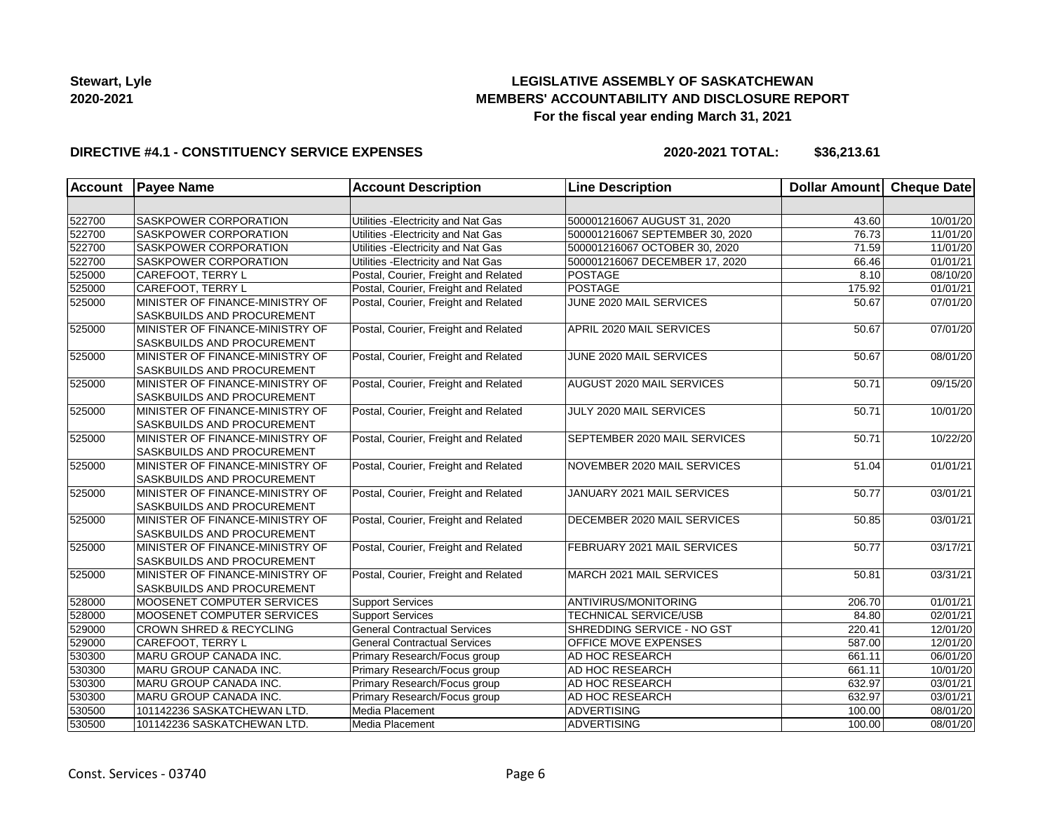## **LEGISLATIVE ASSEMBLY OF SASKATCHEWAN MEMBERS' ACCOUNTABILITY AND DISCLOSURE REPORT For the fiscal year ending March 31, 2021**

#### **DIRECTIVE #4.1 - CONSTITUENCY SERVICE EXPENSES**

| Account | <b>Payee Name</b>                                                    | <b>Account Description</b>           | <b>Line Description</b>             | Dollar Amount Cheque Date |                       |
|---------|----------------------------------------------------------------------|--------------------------------------|-------------------------------------|---------------------------|-----------------------|
|         |                                                                      |                                      |                                     |                           |                       |
| 522700  | SASKPOWER CORPORATION                                                | Utilities - Electricity and Nat Gas  | 500001216067 AUGUST 31, 2020        | 43.60                     | 10/01/20              |
| 522700  | SASKPOWER CORPORATION                                                | Utilities - Electricity and Nat Gas  | 500001216067 SEPTEMBER 30, 2020     | 76.73                     | 11/01/20              |
| 522700  | SASKPOWER CORPORATION                                                | Utilities - Electricity and Nat Gas  | 500001216067 OCTOBER 30, 2020       | 71.59                     | 11/01/20              |
| 522700  | <b>SASKPOWER CORPORATION</b>                                         | Utilities - Electricity and Nat Gas  | 500001216067 DECEMBER 17, 2020      | 66.46                     | 01/01/21              |
| 525000  | CAREFOOT, TERRY L                                                    | Postal, Courier, Freight and Related | <b>POSTAGE</b>                      | 8.10                      | 08/10/20              |
| 525000  | CAREFOOT, TERRY L                                                    | Postal, Courier, Freight and Related | POSTAGE                             | 175.92                    | 01/01/21              |
| 525000  | MINISTER OF FINANCE-MINISTRY OF<br>SASKBUILDS AND PROCUREMENT        | Postal, Courier, Freight and Related | JUNE 2020 MAIL SERVICES             | 50.67                     | 07/01/20              |
| 525000  | MINISTER OF FINANCE-MINISTRY OF<br><b>SASKBUILDS AND PROCUREMENT</b> | Postal, Courier, Freight and Related | APRIL 2020 MAIL SERVICES            | 50.67                     | 07/01/20              |
| 525000  | MINISTER OF FINANCE-MINISTRY OF<br>SASKBUILDS AND PROCUREMENT        | Postal, Courier, Freight and Related | JUNE 2020 MAIL SERVICES             | 50.67                     | 08/01/20              |
| 525000  | MINISTER OF FINANCE-MINISTRY OF<br>SASKBUILDS AND PROCUREMENT        | Postal, Courier, Freight and Related | <b>AUGUST 2020 MAIL SERVICES</b>    | 50.71                     | 09/15/20              |
| 525000  | MINISTER OF FINANCE-MINISTRY OF<br>SASKBUILDS AND PROCUREMENT        | Postal, Courier, Freight and Related | JULY 2020 MAIL SERVICES             | 50.71                     | 10/01/20              |
| 525000  | MINISTER OF FINANCE-MINISTRY OF<br>SASKBUILDS AND PROCUREMENT        | Postal, Courier, Freight and Related | <b>SEPTEMBER 2020 MAIL SERVICES</b> | 50.71                     | 10/22/20              |
| 525000  | MINISTER OF FINANCE-MINISTRY OF<br>SASKBUILDS AND PROCUREMENT        | Postal, Courier, Freight and Related | NOVEMBER 2020 MAIL SERVICES         | 51.04                     | $\overline{01}/01/21$ |
| 525000  | MINISTER OF FINANCE-MINISTRY OF<br>SASKBUILDS AND PROCUREMENT        | Postal, Courier, Freight and Related | JANUARY 2021 MAIL SERVICES          | 50.77                     | 03/01/21              |
| 525000  | MINISTER OF FINANCE-MINISTRY OF<br>SASKBUILDS AND PROCUREMENT        | Postal, Courier, Freight and Related | DECEMBER 2020 MAIL SERVICES         | 50.85                     | 03/01/21              |
| 525000  | MINISTER OF FINANCE-MINISTRY OF<br>SASKBUILDS AND PROCUREMENT        | Postal, Courier, Freight and Related | FEBRUARY 2021 MAIL SERVICES         | 50.77                     | 03/17/21              |
| 525000  | MINISTER OF FINANCE-MINISTRY OF<br>SASKBUILDS AND PROCUREMENT        | Postal, Courier, Freight and Related | MARCH 2021 MAIL SERVICES            | 50.81                     | 03/31/21              |
| 528000  | MOOSENET COMPUTER SERVICES                                           | <b>Support Services</b>              | <b>ANTIVIRUS/MONITORING</b>         | 206.70                    | 01/01/21              |
| 528000  | MOOSENET COMPUTER SERVICES                                           | <b>Support Services</b>              | <b>TECHNICAL SERVICE/USB</b>        | 84.80                     | $\overline{02}/01/21$ |
| 529000  | <b>CROWN SHRED &amp; RECYCLING</b>                                   | <b>General Contractual Services</b>  | SHREDDING SERVICE - NO GST          | 220.41                    | 12/01/20              |
| 529000  | <b>CAREFOOT, TERRY L</b>                                             | <b>General Contractual Services</b>  | <b>OFFICE MOVE EXPENSES</b>         | 587.00                    | 12/01/20              |
| 530300  | MARU GROUP CANADA INC.                                               | Primary Research/Focus group         | AD HOC RESEARCH                     | 661.11                    | 06/01/20              |
| 530300  | MARU GROUP CANADA INC.                                               | Primary Research/Focus group         | <b>AD HOC RESEARCH</b>              | 661.11                    | 10/01/20              |
| 530300  | MARU GROUP CANADA INC.                                               | Primary Research/Focus group         | <b>AD HOC RESEARCH</b>              | 632.97                    | 03/01/21              |
| 530300  | MARU GROUP CANADA INC.                                               | Primary Research/Focus group         | AD HOC RESEARCH                     | 632.97                    | 03/01/21              |
| 530500  | 101142236 SASKATCHEWAN LTD.                                          | Media Placement                      | <b>ADVERTISING</b>                  | 100.00                    | 08/01/20              |
| 530500  | 101142236 SASKATCHEWAN LTD.                                          | Media Placement                      | ADVERTISING                         | 100.00                    | 08/01/20              |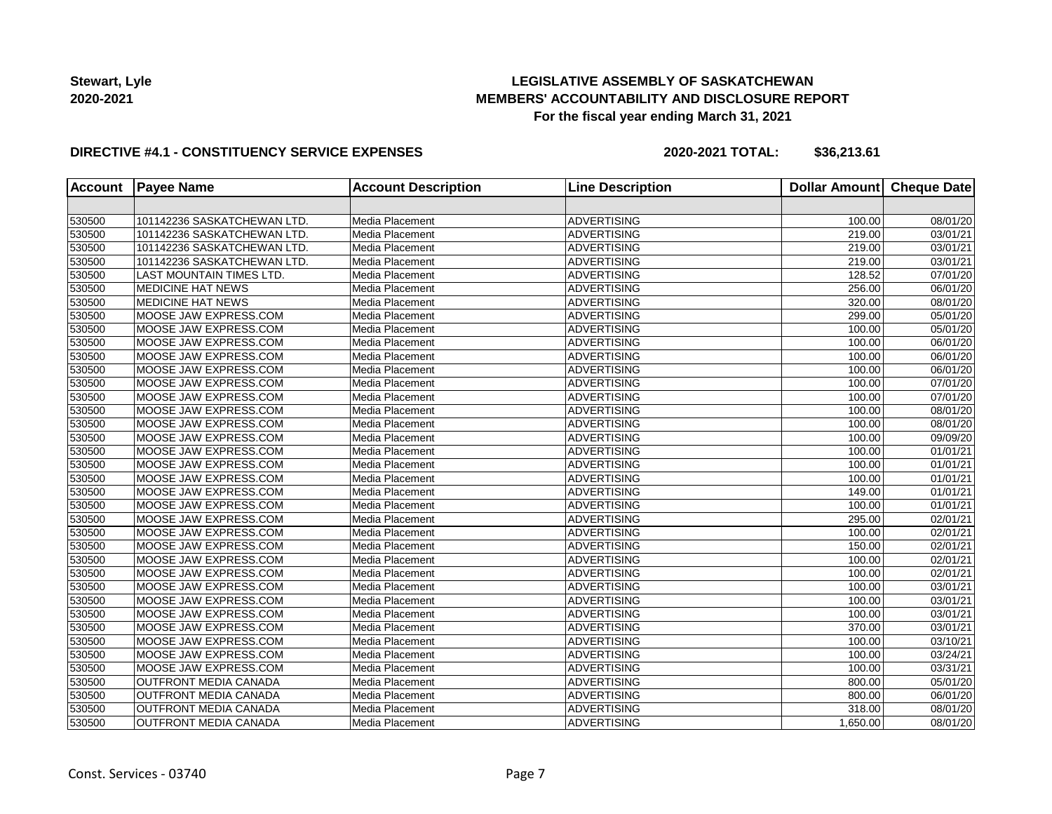# **LEGISLATIVE ASSEMBLY OF SASKATCHEWAN MEMBERS' ACCOUNTABILITY AND DISCLOSURE REPORT For the fiscal year ending March 31, 2021**

#### **DIRECTIVE #4.1 - CONSTITUENCY SERVICE EXPENSES**

| <b>Account</b> | <b>Payee Name</b>            | <b>Account Description</b> | <b>Line Description</b> | <b>Dollar Amount</b> | <b>Cheque Date</b>    |
|----------------|------------------------------|----------------------------|-------------------------|----------------------|-----------------------|
|                |                              |                            |                         |                      |                       |
| 530500         | 101142236 SASKATCHEWAN LTD.  | Media Placement            | <b>ADVERTISING</b>      | 100.00               | 08/01/20              |
| 530500         | 101142236 SASKATCHEWAN LTD.  | Media Placement            | <b>ADVERTISING</b>      | 219.00               | 03/01/21              |
| 530500         | 101142236 SASKATCHEWAN LTD.  | Media Placement            | <b>ADVERTISING</b>      | 219.00               | 03/01/21              |
| 530500         | 101142236 SASKATCHEWAN LTD.  | Media Placement            | <b>ADVERTISING</b>      | 219.00               | 03/01/21              |
| 530500         | LAST MOUNTAIN TIMES LTD.     | Media Placement            | <b>ADVERTISING</b>      | 128.52               | $\overline{07/01/20}$ |
| 530500         | <b>MEDICINE HAT NEWS</b>     | Media Placement            | <b>ADVERTISING</b>      | 256.00               | 06/01/20              |
| 530500         | MEDICINE HAT NEWS            | Media Placement            | <b>ADVERTISING</b>      | 320.00               | 08/01/20              |
| 530500         | MOOSE JAW EXPRESS.COM        | Media Placement            | <b>ADVERTISING</b>      | 299.00               | 05/01/20              |
| 530500         | MOOSE JAW EXPRESS.COM        | Media Placement            | <b>ADVERTISING</b>      | 100.00               | 05/01/20              |
| 530500         | MOOSE JAW EXPRESS.COM        | Media Placement            | <b>ADVERTISING</b>      | 100.00               | 06/01/20              |
| 530500         | MOOSE JAW EXPRESS.COM        | Media Placement            | <b>ADVERTISING</b>      | 100.00               | 06/01/20              |
| 530500         | MOOSE JAW EXPRESS.COM        | Media Placement            | <b>ADVERTISING</b>      | 100.00               | 06/01/20              |
| 530500         | MOOSE JAW EXPRESS.COM        | Media Placement            | <b>ADVERTISING</b>      | 100.00               | 07/01/20              |
| 530500         | MOOSE JAW EXPRESS.COM        | Media Placement            | <b>ADVERTISING</b>      | 100.00               | 07/01/20              |
| 530500         | MOOSE JAW EXPRESS.COM        | Media Placement            | <b>ADVERTISING</b>      | 100.00               | 08/01/20              |
| 530500         | MOOSE JAW EXPRESS.COM        | Media Placement            | <b>ADVERTISING</b>      | 100.00               | 08/01/20              |
| 530500         | MOOSE JAW EXPRESS.COM        | Media Placement            | <b>ADVERTISING</b>      | 100.00               | 09/09/20              |
| 530500         | MOOSE JAW EXPRESS.COM        | Media Placement            | <b>ADVERTISING</b>      | 100.00               | 01/01/21              |
| 530500         | MOOSE JAW EXPRESS.COM        | Media Placement            | <b>ADVERTISING</b>      | 100.00               | 01/01/21              |
| 530500         | MOOSE JAW EXPRESS.COM        | Media Placement            | <b>ADVERTISING</b>      | 100.00               | 01/01/21              |
| 530500         | MOOSE JAW EXPRESS.COM        | Media Placement            | ADVERTISING             | 149.00               | 01/01/21              |
| 530500         | MOOSE JAW EXPRESS.COM        | Media Placement            | <b>ADVERTISING</b>      | 100.00               | 01/01/21              |
| 530500         | MOOSE JAW EXPRESS.COM        | Media Placement            | <b>ADVERTISING</b>      | 295.00               | 02/01/21              |
| 530500         | MOOSE JAW EXPRESS.COM        | Media Placement            | <b>ADVERTISING</b>      | 100.00               | 02/01/21              |
| 530500         | MOOSE JAW EXPRESS.COM        | Media Placement            | <b>ADVERTISING</b>      | 150.00               | 02/01/21              |
| 530500         | MOOSE JAW EXPRESS.COM        | Media Placement            | <b>ADVERTISING</b>      | 100.00               | 02/01/21              |
| 530500         | MOOSE JAW EXPRESS.COM        | Media Placement            | <b>ADVERTISING</b>      | 100.00               | 02/01/21              |
| 530500         | MOOSE JAW EXPRESS.COM        | Media Placement            | <b>ADVERTISING</b>      | 100.00               | 03/01/21              |
| 530500         | MOOSE JAW EXPRESS.COM        | Media Placement            | <b>ADVERTISING</b>      | 100.00               | 03/01/21              |
| 530500         | MOOSE JAW EXPRESS.COM        | Media Placement            | <b>ADVERTISING</b>      | 100.00               | 03/01/21              |
| 530500         | MOOSE JAW EXPRESS.COM        | Media Placement            | <b>ADVERTISING</b>      | 370.00               | $\overline{03/0}1/21$ |
| 530500         | MOOSE JAW EXPRESS.COM        | Media Placement            | <b>ADVERTISING</b>      | 100.00               | 03/10/21              |
| 530500         | MOOSE JAW EXPRESS.COM        | Media Placement            | <b>ADVERTISING</b>      | 100.00               | 03/24/21              |
| 530500         | MOOSE JAW EXPRESS.COM        | Media Placement            | <b>ADVERTISING</b>      | 100.00               | 03/31/21              |
| 530500         | <b>OUTFRONT MEDIA CANADA</b> | Media Placement            | <b>ADVERTISING</b>      | 800.00               | 05/01/20              |
| 530500         | <b>OUTFRONT MEDIA CANADA</b> | Media Placement            | <b>ADVERTISING</b>      | 800.00               | 06/01/20              |
| 530500         | <b>OUTFRONT MEDIA CANADA</b> | Media Placement            | <b>ADVERTISING</b>      | 318.00               | 08/01/20              |
| 530500         | <b>OUTFRONT MEDIA CANADA</b> | Media Placement            | <b>ADVERTISING</b>      | 1,650.00             | 08/01/20              |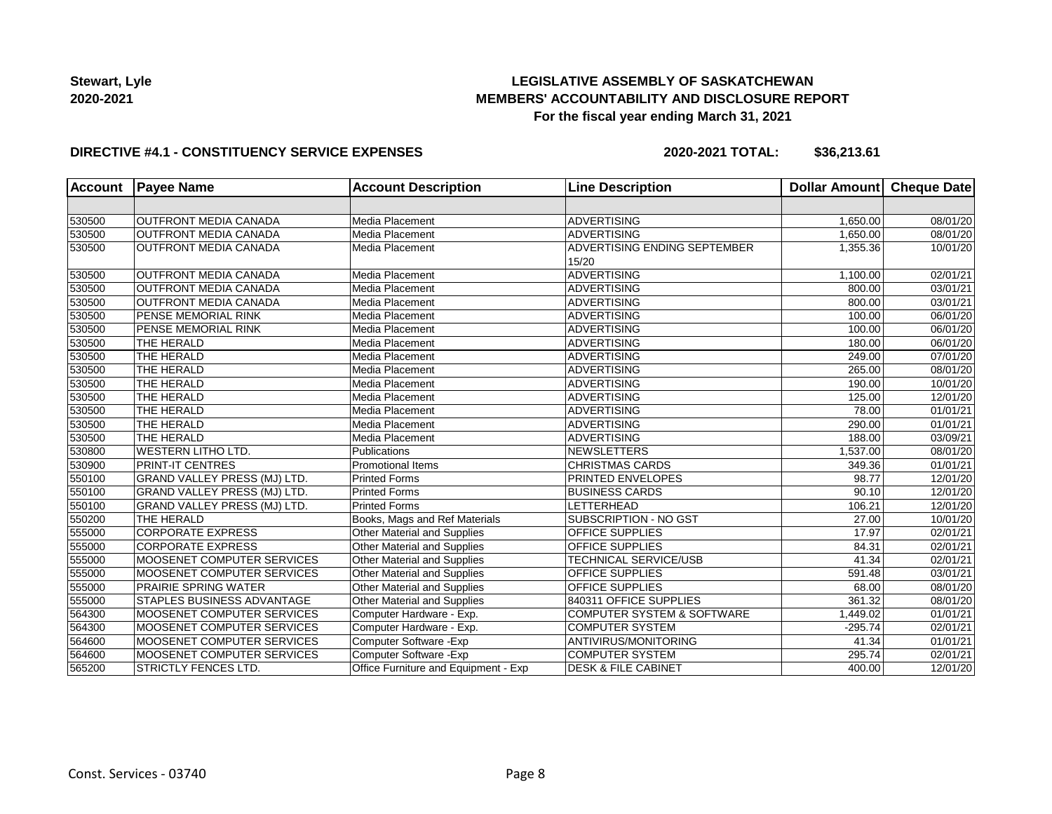## **LEGISLATIVE ASSEMBLY OF SASKATCHEWAN MEMBERS' ACCOUNTABILITY AND DISCLOSURE REPORT For the fiscal year ending March 31, 2021**

#### **DIRECTIVE #4.1 - CONSTITUENCY SERVICE EXPENSES**

| <b>Account</b> | <b>Payee Name</b>            | <b>Account Description</b>           | <b>Line Description</b>               | <b>Dollar Amount</b> | <b>Cheque Date</b>    |
|----------------|------------------------------|--------------------------------------|---------------------------------------|----------------------|-----------------------|
|                |                              |                                      |                                       |                      |                       |
| 530500         | <b>OUTFRONT MEDIA CANADA</b> | Media Placement                      | <b>ADVERTISING</b>                    | 1,650.00             | 08/01/20              |
| 530500         | <b>OUTFRONT MEDIA CANADA</b> | Media Placement                      | ADVERTISING                           | 1,650.00             | 08/01/20              |
| 530500         | <b>OUTFRONT MEDIA CANADA</b> | Media Placement                      | ADVERTISING ENDING SEPTEMBER<br>15/20 | 1,355.36             | 10/01/20              |
| 530500         | <b>OUTFRONT MEDIA CANADA</b> | Media Placement                      | <b>ADVERTISING</b>                    | 1,100.00             | 02/01/21              |
| 530500         | <b>OUTFRONT MEDIA CANADA</b> | Media Placement                      | <b>ADVERTISING</b>                    | 800.00               | 03/01/21              |
| 530500         | <b>OUTFRONT MEDIA CANADA</b> | Media Placement                      | <b>ADVERTISING</b>                    | 800.00               | 03/01/21              |
| 530500         | PENSE MEMORIAL RINK          | Media Placement                      | <b>ADVERTISING</b>                    | 100.00               | $\overline{06}/01/20$ |
| 530500         | PENSE MEMORIAL RINK          | Media Placement                      | <b>ADVERTISING</b>                    | 100.00               | 06/01/20              |
| 530500         | THE HERALD                   | Media Placement                      | <b>ADVERTISING</b>                    | 180.00               | 06/01/20              |
| 530500         | THE HERALD                   | Media Placement                      | <b>ADVERTISING</b>                    | 249.00               | $\overline{07}/01/20$ |
| 530500         | THE HERALD                   | Media Placement                      | <b>ADVERTISING</b>                    | 265.00               | 08/01/20              |
| 530500         | THE HERALD                   | Media Placement                      | <b>ADVERTISING</b>                    | 190.00               | 10/01/20              |
| 530500         | THE HERALD                   | Media Placement                      | <b>ADVERTISING</b>                    | 125.00               | 12/01/20              |
| 530500         | THE HERALD                   | Media Placement                      | <b>ADVERTISING</b>                    | 78.00                | 01/01/21              |
| 530500         | THE HERALD                   | Media Placement                      | <b>ADVERTISING</b>                    | 290.00               | 01/01/21              |
| 530500         | THE HERALD                   | Media Placement                      | <b>ADVERTISING</b>                    | 188.00               | 03/09/21              |
| 530800         | <b>WESTERN LITHO LTD.</b>    | Publications                         | <b>NEWSLETTERS</b>                    | 1,537.00             | 08/01/20              |
| 530900         | <b>PRINT-IT CENTRES</b>      | Promotional Items                    | <b>CHRISTMAS CARDS</b>                | 349.36               | 01/01/21              |
| 550100         | GRAND VALLEY PRESS (MJ) LTD. | <b>Printed Forms</b>                 | <b>PRINTED ENVELOPES</b>              | 98.77                | 12/01/20              |
| 550100         | GRAND VALLEY PRESS (MJ) LTD. | <b>Printed Forms</b>                 | <b>BUSINESS CARDS</b>                 | 90.10                | 12/01/20              |
| 550100         | GRAND VALLEY PRESS (MJ) LTD. | <b>Printed Forms</b>                 | LETTERHEAD                            | 106.21               | $\overline{12}/01/20$ |
| 550200         | THE HERALD                   | Books, Mags and Ref Materials        | <b>SUBSCRIPTION - NO GST</b>          | 27.00                | 10/01/20              |
| 555000         | <b>CORPORATE EXPRESS</b>     | Other Material and Supplies          | OFFICE SUPPLIES                       | 17.97                | 02/01/21              |
| 555000         | <b>CORPORATE EXPRESS</b>     | Other Material and Supplies          | OFFICE SUPPLIES                       | 84.31                | 02/01/21              |
| 555000         | MOOSENET COMPUTER SERVICES   | Other Material and Supplies          | <b>TECHNICAL SERVICE/USB</b>          | 41.34                | 02/01/21              |
| 555000         | MOOSENET COMPUTER SERVICES   | Other Material and Supplies          | OFFICE SUPPLIES                       | 591.48               | 03/01/21              |
| 555000         | <b>PRAIRIE SPRING WATER</b>  | Other Material and Supplies          | <b>OFFICE SUPPLIES</b>                | 68.00                | 08/01/20              |
| 555000         | STAPLES BUSINESS ADVANTAGE   | Other Material and Supplies          | 840311 OFFICE SUPPLIES                | 361.32               | 08/01/20              |
| 564300         | MOOSENET COMPUTER SERVICES   | Computer Hardware - Exp.             | <b>COMPUTER SYSTEM &amp; SOFTWARE</b> | 1,449.02             | 01/01/21              |
| 564300         | MOOSENET COMPUTER SERVICES   | Computer Hardware - Exp.             | <b>COMPUTER SYSTEM</b>                | $-295.74$            | $\overline{02}/01/21$ |
| 564600         | MOOSENET COMPUTER SERVICES   | Computer Software - Exp              | ANTIVIRUS/MONITORING                  | 41.34                | $\overline{01}/01/21$ |
| 564600         | MOOSENET COMPUTER SERVICES   | Computer Software - Exp              | <b>COMPUTER SYSTEM</b>                | 295.74               | 02/01/21              |
| 565200         | <b>STRICTLY FENCES LTD.</b>  | Office Furniture and Equipment - Exp | <b>DESK &amp; FILE CABINET</b>        | 400.00               | 12/01/20              |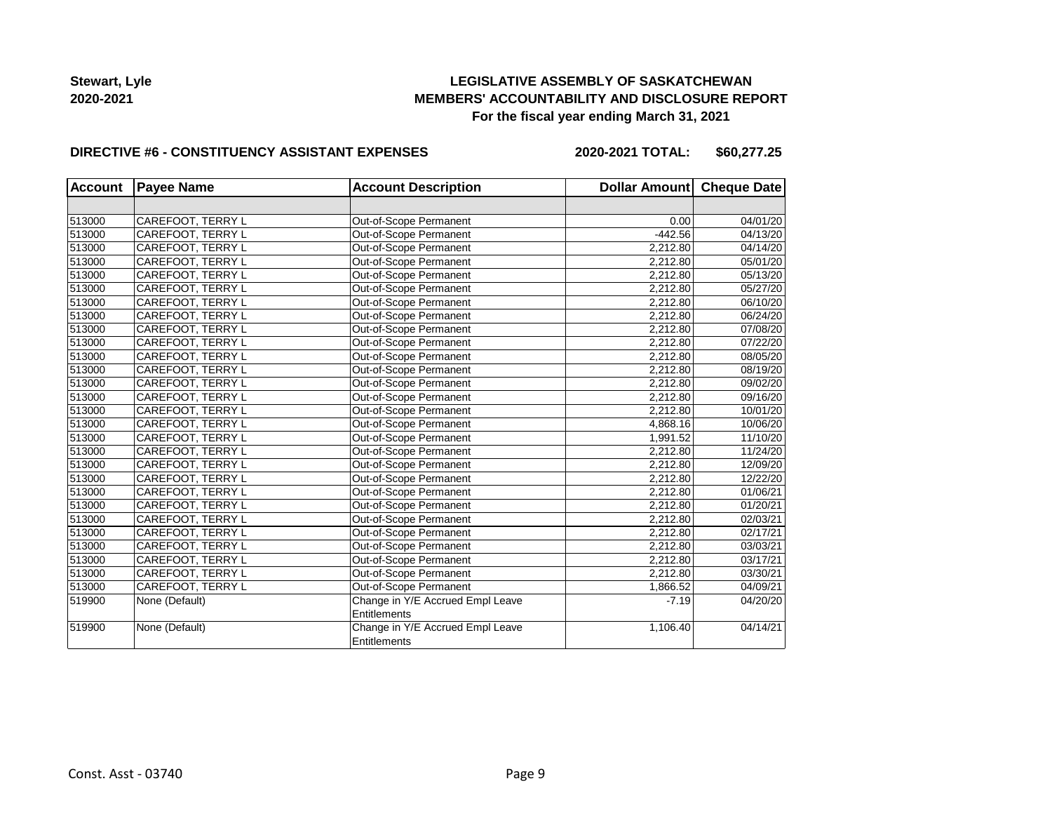## **LEGISLATIVE ASSEMBLY OF SASKATCHEWAN MEMBERS' ACCOUNTABILITY AND DISCLOSURE REPORT For the fiscal year ending March 31, 2021**

#### **DIRECTIVE #6 - CONSTITUENCY ASSISTANT EXPENSES**

**2020-2021 TOTAL: \$60,277.25**

| <b>Account</b> | <b>Payee Name</b>        | <b>Account Description</b>       | Dollar Amount Cheque Date |          |
|----------------|--------------------------|----------------------------------|---------------------------|----------|
|                |                          |                                  |                           |          |
| 513000         | CAREFOOT, TERRY L        | Out-of-Scope Permanent           | 0.00                      | 04/01/20 |
| 513000         | CAREFOOT, TERRY L        | Out-of-Scope Permanent           | $-442.56$                 | 04/13/20 |
| 513000         | CAREFOOT, TERRY L        | Out-of-Scope Permanent           | 2,212.80                  | 04/14/20 |
| 513000         | CAREFOOT, TERRY L        | Out-of-Scope Permanent           | 2,212.80                  | 05/01/20 |
| 513000         | CAREFOOT, TERRY L        | Out-of-Scope Permanent           | 2,212.80                  | 05/13/20 |
| 513000         | CAREFOOT, TERRY L        | Out-of-Scope Permanent           | 2,212.80                  | 05/27/20 |
| 513000         | CAREFOOT, TERRY L        | Out-of-Scope Permanent           | 2,212.80                  | 06/10/20 |
| 513000         | CAREFOOT, TERRY L        | Out-of-Scope Permanent           | 2,212.80                  | 06/24/20 |
| 513000         | CAREFOOT, TERRY L        | Out-of-Scope Permanent           | 2,212.80                  | 07/08/20 |
| 513000         | CAREFOOT, TERRY L        | Out-of-Scope Permanent           | 2,212.80                  | 07/22/20 |
| 513000         | CAREFOOT, TERRY L        | Out-of-Scope Permanent           | 2,212.80                  | 08/05/20 |
| 513000         | CAREFOOT, TERRY L        | Out-of-Scope Permanent           | 2,212.80                  | 08/19/20 |
| 513000         | CAREFOOT, TERRY L        | Out-of-Scope Permanent           | 2,212.80                  | 09/02/20 |
| 513000         | CAREFOOT, TERRY L        | Out-of-Scope Permanent           | 2,212.80                  | 09/16/20 |
| 513000         | CAREFOOT, TERRY L        | Out-of-Scope Permanent           | 2,212.80                  | 10/01/20 |
| 513000         | CAREFOOT, TERRY L        | Out-of-Scope Permanent           | 4,868.16                  | 10/06/20 |
| 513000         | <b>CAREFOOT, TERRY L</b> | Out-of-Scope Permanent           | 1,991.52                  | 11/10/20 |
| 513000         | CAREFOOT, TERRY L        | Out-of-Scope Permanent           | 2,212.80                  | 11/24/20 |
| 513000         | CAREFOOT, TERRY L        | Out-of-Scope Permanent           | 2,212.80                  | 12/09/20 |
| 513000         | CAREFOOT, TERRY L        | Out-of-Scope Permanent           | 2,212.80                  | 12/22/20 |
| 513000         | CAREFOOT, TERRY L        | Out-of-Scope Permanent           | 2,212.80                  | 01/06/21 |
| 513000         | CAREFOOT, TERRY L        | Out-of-Scope Permanent           | 2,212.80                  | 01/20/21 |
| 513000         | CAREFOOT, TERRY L        | Out-of-Scope Permanent           | 2,212.80                  | 02/03/21 |
| 513000         | CAREFOOT, TERRY L        | Out-of-Scope Permanent           | 2,212.80                  | 02/17/21 |
| 513000         | CAREFOOT, TERRY L        | Out-of-Scope Permanent           | 2,212.80                  | 03/03/21 |
| 513000         | CAREFOOT, TERRY L        | Out-of-Scope Permanent           | 2,212.80                  | 03/17/21 |
| 513000         | CAREFOOT, TERRY L        | Out-of-Scope Permanent           | 2,212.80                  | 03/30/21 |
| 513000         | CAREFOOT, TERRY L        | Out-of-Scope Permanent           | 1,866.52                  | 04/09/21 |
| 519900         | None (Default)           | Change in Y/E Accrued Empl Leave | $-7.19$                   | 04/20/20 |
|                |                          | Entitlements                     |                           |          |
| 519900         | None (Default)           | Change in Y/E Accrued Empl Leave | 1,106.40                  | 04/14/21 |
|                |                          | Entitlements                     |                           |          |